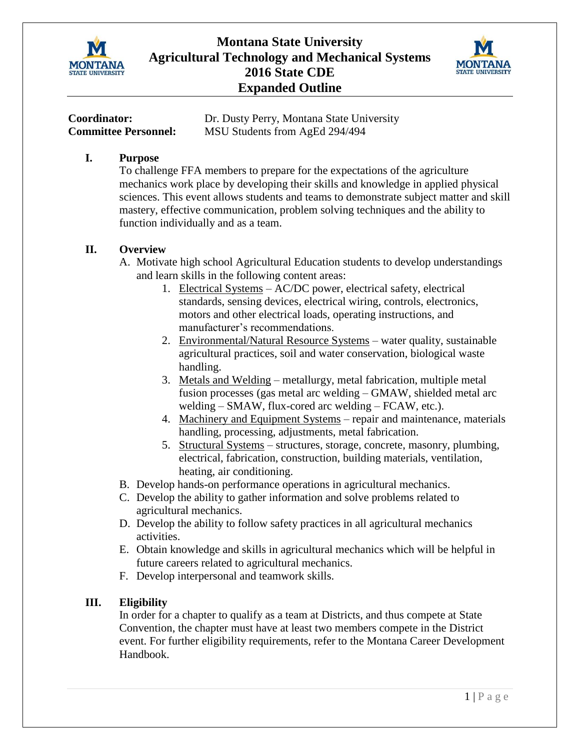

# **Montana State University Agricultural Technology and Mechanical Systems 2016 State CDE Expanded Outline**



| Coordinator:                | Dr. Dusty Perry, Montana State University |
|-----------------------------|-------------------------------------------|
| <b>Committee Personnel:</b> | MSU Students from AgEd 294/494            |

#### **I. Purpose**

To challenge FFA members to prepare for the expectations of the agriculture mechanics work place by developing their skills and knowledge in applied physical sciences. This event allows students and teams to demonstrate subject matter and skill mastery, effective communication, problem solving techniques and the ability to function individually and as a team.

## **II. Overview**

- A. Motivate high school Agricultural Education students to develop understandings and learn skills in the following content areas:
	- 1. Electrical Systems AC/DC power, electrical safety, electrical standards, sensing devices, electrical wiring, controls, electronics, motors and other electrical loads, operating instructions, and manufacturer's recommendations.
	- 2. Environmental/Natural Resource Systems water quality, sustainable agricultural practices, soil and water conservation, biological waste handling.
	- 3. Metals and Welding metallurgy, metal fabrication, multiple metal fusion processes (gas metal arc welding – GMAW, shielded metal arc welding – SMAW, flux-cored arc welding – FCAW, etc.).
	- 4. Machinery and Equipment Systems repair and maintenance, materials handling, processing, adjustments, metal fabrication.
	- 5. Structural Systems structures, storage, concrete, masonry, plumbing, electrical, fabrication, construction, building materials, ventilation, heating, air conditioning.
- B. Develop hands-on performance operations in agricultural mechanics.
- C. Develop the ability to gather information and solve problems related to agricultural mechanics.
- D. Develop the ability to follow safety practices in all agricultural mechanics activities.
- E. Obtain knowledge and skills in agricultural mechanics which will be helpful in future careers related to agricultural mechanics.
- F. Develop interpersonal and teamwork skills.

## **III. Eligibility**

In order for a chapter to qualify as a team at Districts, and thus compete at State Convention, the chapter must have at least two members compete in the District event. For further eligibility requirements, refer to the Montana Career Development Handbook.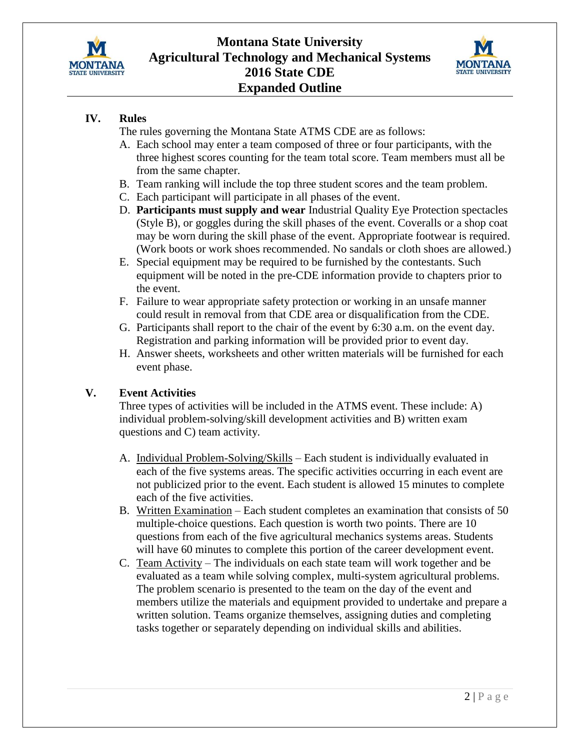



## **IV. Rules**

The rules governing the Montana State ATMS CDE are as follows:

- A. Each school may enter a team composed of three or four participants, with the three highest scores counting for the team total score. Team members must all be from the same chapter.
- B. Team ranking will include the top three student scores and the team problem.
- C. Each participant will participate in all phases of the event.
- D. **Participants must supply and wear** Industrial Quality Eye Protection spectacles (Style B), or goggles during the skill phases of the event. Coveralls or a shop coat may be worn during the skill phase of the event. Appropriate footwear is required. (Work boots or work shoes recommended. No sandals or cloth shoes are allowed.)
- E. Special equipment may be required to be furnished by the contestants. Such equipment will be noted in the pre-CDE information provide to chapters prior to the event.
- F. Failure to wear appropriate safety protection or working in an unsafe manner could result in removal from that CDE area or disqualification from the CDE.
- G. Participants shall report to the chair of the event by 6:30 a.m. on the event day. Registration and parking information will be provided prior to event day.
- H. Answer sheets, worksheets and other written materials will be furnished for each event phase.

# **V. Event Activities**

Three types of activities will be included in the ATMS event. These include: A) individual problem-solving/skill development activities and B) written exam questions and C) team activity.

- A. Individual Problem-Solving/Skills Each student is individually evaluated in each of the five systems areas. The specific activities occurring in each event are not publicized prior to the event. Each student is allowed 15 minutes to complete each of the five activities.
- B. Written Examination Each student completes an examination that consists of 50 multiple-choice questions. Each question is worth two points. There are 10 questions from each of the five agricultural mechanics systems areas. Students will have 60 minutes to complete this portion of the career development event.
- C. Team Activity The individuals on each state team will work together and be evaluated as a team while solving complex, multi-system agricultural problems. The problem scenario is presented to the team on the day of the event and members utilize the materials and equipment provided to undertake and prepare a written solution. Teams organize themselves, assigning duties and completing tasks together or separately depending on individual skills and abilities.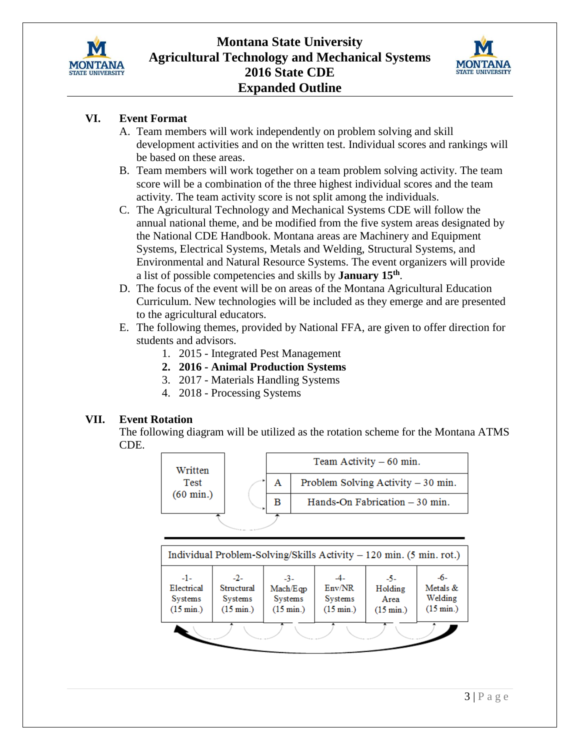



## **VI. Event Format**

- A. Team members will work independently on problem solving and skill development activities and on the written test. Individual scores and rankings will be based on these areas.
- B. Team members will work together on a team problem solving activity. The team score will be a combination of the three highest individual scores and the team activity. The team activity score is not split among the individuals.
- C. The Agricultural Technology and Mechanical Systems CDE will follow the annual national theme, and be modified from the five system areas designated by the National CDE Handbook. Montana areas are Machinery and Equipment Systems, Electrical Systems, Metals and Welding, Structural Systems, and Environmental and Natural Resource Systems. The event organizers will provide a list of possible competencies and skills by **January 15th** .
- D. The focus of the event will be on areas of the Montana Agricultural Education Curriculum. New technologies will be included as they emerge and are presented to the agricultural educators.
- E. The following themes, provided by National FFA, are given to offer direction for students and advisors.
	- 1. 2015 Integrated Pest Management
	- **2. 2016 - Animal Production Systems**
	- 3. 2017 Materials Handling Systems
	- 4. 2018 Processing Systems

## **VII. Event Rotation**

The following diagram will be utilized as the rotation scheme for the Montana ATMS CDE.



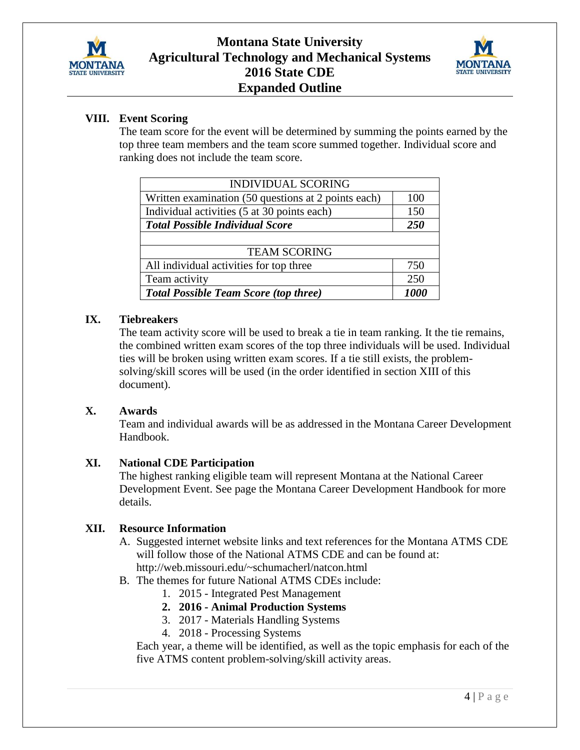



## **VIII. Event Scoring**

The team score for the event will be determined by summing the points earned by the top three team members and the team score summed together. Individual score and ranking does not include the team score.

| <b>INDIVIDUAL SCORING</b>                           |      |  |  |  |
|-----------------------------------------------------|------|--|--|--|
| Written examination (50 questions at 2 points each) | 100  |  |  |  |
| Individual activities (5 at 30 points each)         | 150  |  |  |  |
| <b>Total Possible Individual Score</b>              | 250  |  |  |  |
|                                                     |      |  |  |  |
| <b>TEAM SCORING</b>                                 |      |  |  |  |
| All individual activities for top three             | 750  |  |  |  |
| Team activity                                       | 250  |  |  |  |
| <b>Total Possible Team Score (top three)</b>        | 1000 |  |  |  |

## **IX. Tiebreakers**

The team activity score will be used to break a tie in team ranking. It the tie remains, the combined written exam scores of the top three individuals will be used. Individual ties will be broken using written exam scores. If a tie still exists, the problemsolving/skill scores will be used (in the order identified in section XIII of this document).

#### **X. Awards**

Team and individual awards will be as addressed in the Montana Career Development Handbook.

## **XI. National CDE Participation**

The highest ranking eligible team will represent Montana at the National Career Development Event. See page the Montana Career Development Handbook for more details.

## **XII. Resource Information**

- A. Suggested internet website links and text references for the Montana ATMS CDE will follow those of the National ATMS CDE and can be found at: http://web.missouri.edu/~schumacherl/natcon.html
- B. The themes for future National ATMS CDEs include:
	- 1. 2015 Integrated Pest Management
	- **2. 2016 - Animal Production Systems**
	- 3. 2017 Materials Handling Systems
	- 4. 2018 Processing Systems

Each year, a theme will be identified, as well as the topic emphasis for each of the five ATMS content problem-solving/skill activity areas.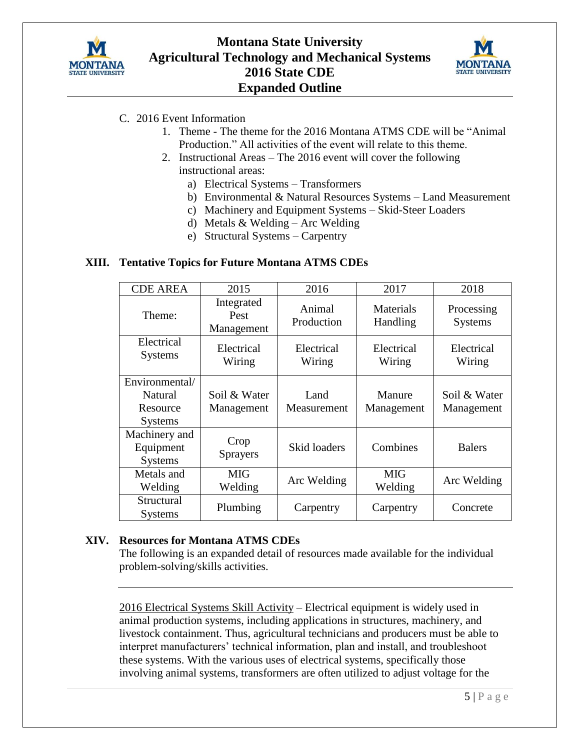



# C. 2016 Event Information

- 1. Theme The theme for the 2016 Montana ATMS CDE will be "Animal Production." All activities of the event will relate to this theme.
- 2. Instructional Areas The 2016 event will cover the following instructional areas:
	- a) Electrical Systems Transformers
	- b) Environmental & Natural Resources Systems Land Measurement
	- c) Machinery and Equipment Systems Skid-Steer Loaders
	- d) Metals & Welding Arc Welding
	- e) Structural Systems Carpentry

## **XIII. Tentative Topics for Future Montana ATMS CDEs**

| <b>CDE AREA</b>                                         | 2015                             | 2016                 | 2017                  | 2018                         |
|---------------------------------------------------------|----------------------------------|----------------------|-----------------------|------------------------------|
| Theme:                                                  | Integrated<br>Pest<br>Management | Animal<br>Production | Materials<br>Handling | Processing<br><b>Systems</b> |
| Electrical<br><b>Systems</b>                            | Electrical<br>Wiring             | Electrical<br>Wiring | Electrical<br>Wiring  | Electrical<br>Wiring         |
| Environmental/<br>Natural<br>Resource<br><b>Systems</b> | Soil & Water<br>Management       | Land<br>Measurement  | Manure<br>Management  | Soil & Water<br>Management   |
| Machinery and<br>Equipment<br><b>Systems</b>            | Crop<br><b>Sprayers</b>          | Skid loaders         | Combines              | <b>Balers</b>                |
| Metals and<br>Welding                                   | <b>MIG</b><br>Welding            | Arc Welding          | <b>MIG</b><br>Welding | Arc Welding                  |
| Structural<br><b>Systems</b>                            | Plumbing                         | Carpentry            | Carpentry             | Concrete                     |

#### **XIV. Resources for Montana ATMS CDEs**

The following is an expanded detail of resources made available for the individual problem-solving/skills activities.

2016 Electrical Systems Skill Activity – Electrical equipment is widely used in animal production systems, including applications in structures, machinery, and livestock containment. Thus, agricultural technicians and producers must be able to interpret manufacturers' technical information, plan and install, and troubleshoot these systems. With the various uses of electrical systems, specifically those involving animal systems, transformers are often utilized to adjust voltage for the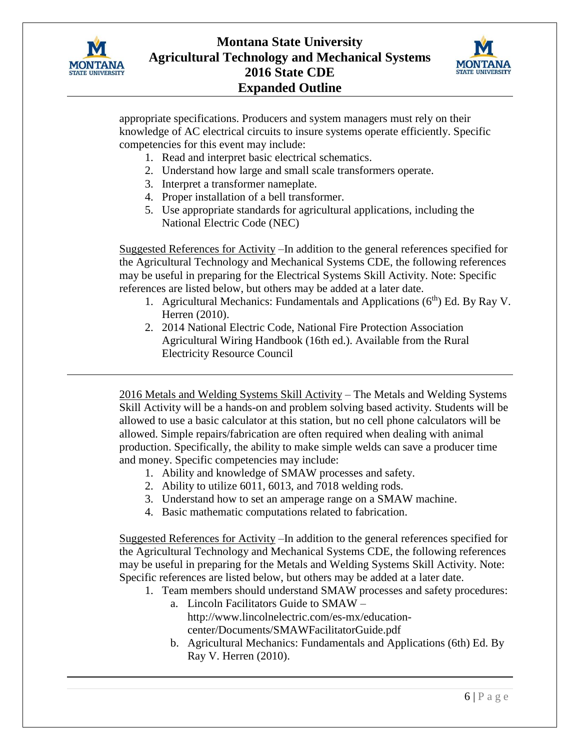



appropriate specifications. Producers and system managers must rely on their knowledge of AC electrical circuits to insure systems operate efficiently. Specific competencies for this event may include:

- 1. Read and interpret basic electrical schematics.
- 2. Understand how large and small scale transformers operate.
- 3. Interpret a transformer nameplate.
- 4. Proper installation of a bell transformer.
- 5. Use appropriate standards for agricultural applications, including the National Electric Code (NEC)

Suggested References for Activity –In addition to the general references specified for the Agricultural Technology and Mechanical Systems CDE, the following references may be useful in preparing for the Electrical Systems Skill Activity. Note: Specific references are listed below, but others may be added at a later date.

- 1. Agricultural Mechanics: Fundamentals and Applications  $(6<sup>th</sup>)$  Ed. By Ray V. Herren (2010).
- 2. 2014 National Electric Code, National Fire Protection Association Agricultural Wiring Handbook (16th ed.). Available from the Rural Electricity Resource Council

2016 Metals and Welding Systems Skill Activity – The Metals and Welding Systems Skill Activity will be a hands-on and problem solving based activity. Students will be allowed to use a basic calculator at this station, but no cell phone calculators will be allowed. Simple repairs/fabrication are often required when dealing with animal production. Specifically, the ability to make simple welds can save a producer time and money. Specific competencies may include:

- 1. Ability and knowledge of SMAW processes and safety.
- 2. Ability to utilize 6011, 6013, and 7018 welding rods.
- 3. Understand how to set an amperage range on a SMAW machine.
- 4. Basic mathematic computations related to fabrication.

Suggested References for Activity –In addition to the general references specified for the Agricultural Technology and Mechanical Systems CDE, the following references may be useful in preparing for the Metals and Welding Systems Skill Activity. Note: Specific references are listed below, but others may be added at a later date.

- 1. Team members should understand SMAW processes and safety procedures: a. Lincoln Facilitators Guide to SMAW –
	- http://www.lincolnelectric.com/es-mx/educationcenter/Documents/SMAWFacilitatorGuide.pdf
	- b. Agricultural Mechanics: Fundamentals and Applications (6th) Ed. By Ray V. Herren (2010).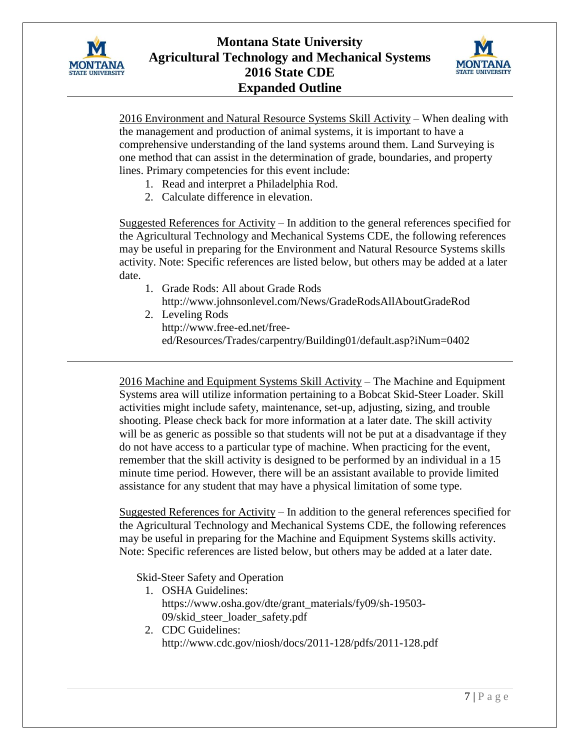



2016 Environment and Natural Resource Systems Skill Activity – When dealing with the management and production of animal systems, it is important to have a comprehensive understanding of the land systems around them. Land Surveying is one method that can assist in the determination of grade, boundaries, and property lines. Primary competencies for this event include:

- 1. Read and interpret a Philadelphia Rod.
- 2. Calculate difference in elevation.

Suggested References for Activity – In addition to the general references specified for the Agricultural Technology and Mechanical Systems CDE, the following references may be useful in preparing for the Environment and Natural Resource Systems skills activity. Note: Specific references are listed below, but others may be added at a later date.

- 1. Grade Rods: All about Grade Rods http://www.johnsonlevel.com/News/GradeRodsAllAboutGradeRod
- 2. Leveling Rods http://www.free-ed.net/freeed/Resources/Trades/carpentry/Building01/default.asp?iNum=0402

2016 Machine and Equipment Systems Skill Activity – The Machine and Equipment Systems area will utilize information pertaining to a Bobcat Skid-Steer Loader. Skill activities might include safety, maintenance, set-up, adjusting, sizing, and trouble shooting. Please check back for more information at a later date. The skill activity will be as generic as possible so that students will not be put at a disadvantage if they do not have access to a particular type of machine. When practicing for the event, remember that the skill activity is designed to be performed by an individual in a 15 minute time period. However, there will be an assistant available to provide limited assistance for any student that may have a physical limitation of some type.

Suggested References for Activity – In addition to the general references specified for the Agricultural Technology and Mechanical Systems CDE, the following references may be useful in preparing for the Machine and Equipment Systems skills activity. Note: Specific references are listed below, but others may be added at a later date.

Skid-Steer Safety and Operation

- 1. OSHA Guidelines: https://www.osha.gov/dte/grant\_materials/fy09/sh-19503- 09/skid\_steer\_loader\_safety.pdf
- 2. CDC Guidelines: http://www.cdc.gov/niosh/docs/2011-128/pdfs/2011-128.pdf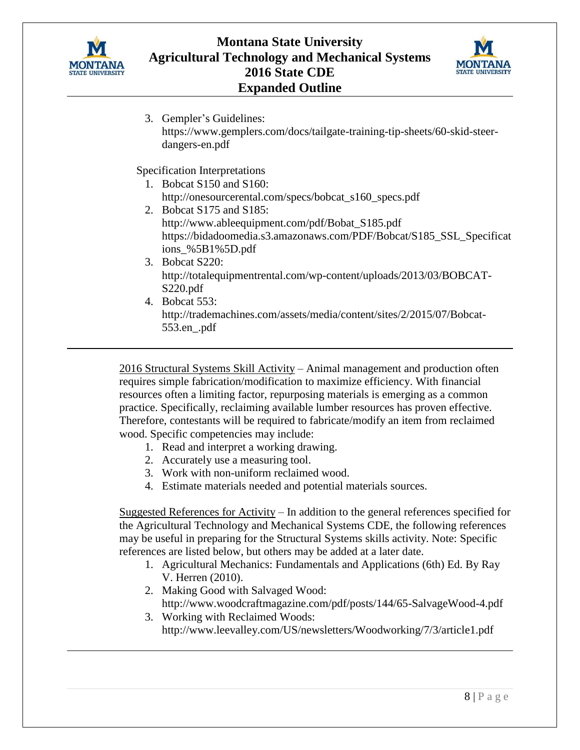



3. Gempler's Guidelines: https://www.gemplers.com/docs/tailgate-training-tip-sheets/60-skid-steerdangers-en.pdf

Specification Interpretations

- 1. Bobcat S150 and S160: http://onesourcerental.com/specs/bobcat\_s160\_specs.pdf
- 2. Bobcat S175 and S185: http://www.ableequipment.com/pdf/Bobat\_S185.pdf https://bidadoomedia.s3.amazonaws.com/PDF/Bobcat/S185\_SSL\_Specificat ions\_%5B1%5D.pdf
- 3. Bobcat S220: http://totalequipmentrental.com/wp-content/uploads/2013/03/BOBCAT-S220.pdf
- 4. Bobcat 553: http://trademachines.com/assets/media/content/sites/2/2015/07/Bobcat-553.en\_.pdf

2016 Structural Systems Skill Activity – Animal management and production often requires simple fabrication/modification to maximize efficiency. With financial resources often a limiting factor, repurposing materials is emerging as a common practice. Specifically, reclaiming available lumber resources has proven effective. Therefore, contestants will be required to fabricate/modify an item from reclaimed wood. Specific competencies may include:

- 1. Read and interpret a working drawing.
- 2. Accurately use a measuring tool.
- 3. Work with non-uniform reclaimed wood.
- 4. Estimate materials needed and potential materials sources.

Suggested References for Activity – In addition to the general references specified for the Agricultural Technology and Mechanical Systems CDE, the following references may be useful in preparing for the Structural Systems skills activity. Note: Specific references are listed below, but others may be added at a later date.

- 1. Agricultural Mechanics: Fundamentals and Applications (6th) Ed. By Ray V. Herren (2010).
- 2. Making Good with Salvaged Wood: http://www.woodcraftmagazine.com/pdf/posts/144/65-SalvageWood-4.pdf
- 3. Working with Reclaimed Woods: http://www.leevalley.com/US/newsletters/Woodworking/7/3/article1.pdf